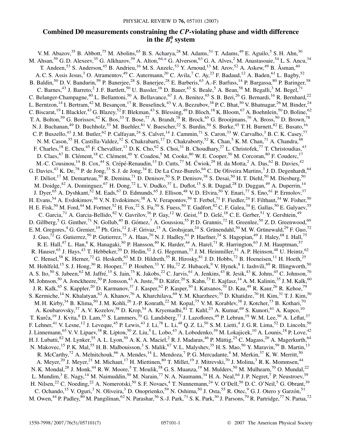## **Combined D0 measurements constraining the** *CP***-violating phase and width difference** in the  $B_s^0$  system

<span id="page-0-0"></span>V. M. Abazov,<sup>35</sup> B. Abbott,<sup>75</sup> M. Abolins,<sup>65</sup> B. S. Acharya,<sup>28</sup> M. Adams,<sup>51</sup> T. Adams,<sup>49</sup> E. Aguilo,<sup>5</sup> S. H. Ahn,<sup>30</sup> M. Ahsan,<sup>59</sup> G. D. Alexeev,<sup>35</sup> G. Alkhazov,<sup>39</sup> A. Alton,<sup>64[,\\*](#page-2-0)</sup> G. Alverson,<sup>63</sup> G. A. Alves,<sup>2</sup> M. Anastasoaie,<sup>34</sup> L. S. Ancu,<sup>34</sup> T. Andeen,<sup>53</sup> S. Anderson,<sup>45</sup> B. Andrieu,<sup>16</sup> M. S. Anzelc,<sup>53</sup> Y. Arnoud,<sup>13</sup> M. Arov,<sup>52</sup> A. Askew,<sup>49</sup> B. Åsman,<sup>40</sup> A. C. S. Assis Jesus,<sup>3</sup> O. Atramentov,<sup>49</sup> C. Autermann,<sup>20</sup> C. Avila,<sup>7</sup> C. Ay,<sup>23</sup> F. Badaud,<sup>12</sup> A. Baden,<sup>61</sup> L. Bagby,<sup>52</sup> B. Baldin,<sup>50</sup> D. V. Bandurin,<sup>59</sup> P. Banerjee,<sup>28</sup> S. Banerjee,<sup>28</sup> E. Barberis,<sup>63</sup> A.-F. Barfuss,<sup>14</sup> P. Bargassa,<sup>80</sup> P. Baringer,<sup>58</sup> C. Barnes,<sup>43</sup> J. Barreto,<sup>2</sup> J. F. Bartlett,<sup>50</sup> U. Bassler,<sup>16</sup> D. Bauer,<sup>43</sup> S. Beale,<sup>5</sup> A. Bean,<sup>58</sup> M. Begalli,<sup>3</sup> M. Begel,<sup>71</sup> C. Belanger-Champagne,<sup>40</sup> L. Bellantoni,<sup>50</sup> A. Bellavance,<sup>67</sup> J. A. Benitez,<sup>65</sup> S. B. Beri,<sup>26</sup> G. Bernardi,<sup>16</sup> R. Bernhard,<sup>22</sup> L. Berntzon, <sup>14</sup> I. Bertram, <sup>42</sup> M. Besançon, <sup>17</sup> R. Beuselinck, <sup>43</sup> V. A. Bezzubov, <sup>38</sup> P. C. Bhat, <sup>50</sup> V. Bhatnagar, <sup>26</sup> M. Binder, <sup>24</sup> C. Biscarat, <sup>19</sup> I. Blackler, <sup>43</sup> G. Blazey, <sup>52</sup> F. Blekman, <sup>43</sup> S. Blessing, <sup>49</sup> D. Bloch, <sup>18</sup> K. Bloom, <sup>67</sup> A. Boehnlein, <sup>50</sup> D. Boline, <sup>62</sup> T. A. Bolton,<sup>59</sup> G. Borissov,<sup>42</sup> K. Bos,<sup>33</sup> T. Bose,<sup>77</sup> A. Brandt,<sup>78</sup> R. Brock,<sup>65</sup> G. Brooijmans,<sup>70</sup> A. Bross,<sup>50</sup> D. Brown,<sup>78</sup> N. J. Buchanan,<sup>49</sup> D. Buchholz,<sup>53</sup> M. Buehler,<sup>81</sup> V. Buescher,<sup>22</sup> S. Burdin,<sup>50</sup> S. Burke,<sup>45</sup> T. H. Burnett,<sup>82</sup> E. Busato,<sup>16</sup> C. P. Buszello,<sup>43</sup> J. M. Butler,<sup>62</sup> P. Calfayan,<sup>24</sup> S. Calvet,<sup>14</sup> J. Cammin,<sup>71</sup> S. Caron,<sup>33</sup> W. Carvalho,<sup>3</sup> B. C. K. Casey,<sup>77</sup> N. M. Cason,<sup>55</sup> H. Castilla-Valdez,<sup>32</sup> S. Chakrabarti,<sup>17</sup> D. Chakraborty,<sup>52</sup> K. Chan,<sup>5</sup> K. M. Chan,<sup>71</sup> A. Chandra,<sup>48</sup> F. Charles, <sup>18</sup> E. Cheu, <sup>45</sup> F. Chevallier, <sup>13</sup> D. K. Cho, <sup>62</sup> S. Choi, <sup>31</sup> B. Choudhary, <sup>27</sup> L. Christofek, <sup>77</sup> T. Christoudias, <sup>43</sup> D. Claes, <sup>67</sup> B. Clément,<sup>18</sup> C. Clément,<sup>40</sup> Y. Coadou,<sup>5</sup> M. Cooke, <sup>80</sup> W. E. Cooper, <sup>50</sup> M. Corcoran, <sup>80</sup> F. Couderc, <sup>17</sup> M.-C. Cousinou,<sup>14</sup> B. Cox,<sup>44</sup> S. Crépé-Renaudin,<sup>13</sup> D. Cutts,<sup>77</sup> M. Ćwiok,<sup>29</sup> H. da Motta,<sup>2</sup> A. Das,<sup>62</sup> B. Davies,<sup>42</sup> G. Davies,  $^{43}$  K. De,  $^{78}$  P. de Jong,  $^{33}$  S. J. de Jong,  $^{34}$  E. De La Cruz-Burelo,  $^{64}$  C. De Oliveira Martins,  $^3$  J. D. Degenhardt,  $^{64}$ F. Déliot,<sup>17</sup> M. Demarteau,<sup>50</sup> R. Demina,<sup>71</sup> D. Denisov,<sup>50</sup> S. P. Denisov,<sup>38</sup> S. Desai,<sup>50</sup> H. T. Diehl,<sup>50</sup> M. Diesburg,<sup>50</sup> M. Doidge,<sup>42</sup> A. Dominguez,<sup>67</sup> H. Dong,<sup>72</sup> L. V. Dudko,<sup>37</sup> L. Duflot,<sup>15</sup> S. R. Dugad,<sup>28</sup> D. Duggan,<sup>49</sup> A. Duperrin,<sup>14</sup> J. Dyer,<sup>65</sup> A. Dyshkant,<sup>52</sup> M. Eads,<sup>67</sup> D. Edmunds,<sup>65</sup> J. Ellison,<sup>48</sup> V.D. Elvira,<sup>50</sup> Y. Enari,<sup>77</sup> S. Eno,<sup>61</sup> P. Ermolov,<sup>37</sup> H. Evans,<sup>54</sup> A. Evdokimov,<sup>36</sup> V. N. Evdokimov,<sup>38</sup> A. V. Ferapontov,<sup>59</sup> T. Ferbel,<sup>71</sup> F. Fiedler,<sup>24</sup> F. Filthaut,<sup>34</sup> W. Fisher,<sup>50</sup> H. E. Fisk,<sup>50</sup> M. Ford,<sup>44</sup> M. Fortner,<sup>52</sup> H. Fox,<sup>22</sup> S. Fu,<sup>50</sup> S. Fuess,<sup>50</sup> T. Gadfort,<sup>82</sup> C. F. Galea,<sup>34</sup> E. Gallas,<sup>50</sup> E. Galyaev,<sup>55</sup> C. Garcia,<sup>71</sup> A. Garcia-Bellido,<sup>82</sup> V. Gavrilov,<sup>36</sup> P. Gay,<sup>12</sup> W. Geist,<sup>18</sup> D. Gelé,<sup>18</sup> C. E. Gerber,<sup>51</sup> Y. Gershtein,<sup>49</sup> D. Gillberg,<sup>5</sup> G. Ginther,<sup>71</sup> N. Gollub,<sup>40</sup> B. Gómez,<sup>7</sup> A. Goussiou,<sup>55</sup> P.D. Grannis,<sup>72</sup> H. Greenlee,<sup>50</sup> Z.D. Greenwood,<sup>60</sup> E. M. Gregores,<sup>4</sup> G. Grenier,<sup>19</sup> Ph. Gris,<sup>12</sup> J.-F. Grivaz,<sup>15</sup> A. Grohsjean,<sup>24</sup> S. Grünendahl,<sup>50</sup> M. W. Grünewald,<sup>29</sup> F. Guo,<sup>72</sup> J. Guo,<sup>72</sup> G. Gutierrez,<sup>50</sup> P. Gutierrez,<sup>75</sup> A. Haas,<sup>70</sup> N. J. Hadley,<sup>61</sup> P. Haefner,<sup>24</sup> S. Hagopian,<sup>49</sup> J. Haley,<sup>68</sup> I. Hall,<sup>75</sup> R. E. Hall,<sup>47</sup> L. Han,<sup>6</sup> K. Hanagaki,<sup>50</sup> P. Hansson,<sup>40</sup> K. Harder,<sup>44</sup> A. Harel,<sup>71</sup> R. Harrington,<sup>63</sup> J. M. Hauptman,<sup>57</sup> R. Hauser,<sup>65</sup> J. Hays,<sup>43</sup> T. Hebbeker,<sup>20</sup> D. Hedin,<sup>52</sup> J. G. Hegeman,<sup>33</sup> J. M. Heinmiller,<sup>51</sup> A. P. Heinson,<sup>48</sup> U. Heintz,<sup>62</sup> C. Hensel,<sup>58</sup> K. Herner,<sup>72</sup> G. Hesketh,<sup>63</sup> M. D. Hildreth,<sup>55</sup> R. Hirosky,<sup>81</sup> J. D. Hobbs,<sup>72</sup> B. Hoeneisen,<sup>11</sup> H. Hoeth,<sup>25</sup> M. Hohlfeld,<sup>15</sup> S. J. Hong,<sup>30</sup> R. Hooper,<sup>77</sup> P. Houben,<sup>33</sup> Y. Hu,<sup>72</sup> Z. Hubacek,<sup>9</sup> V. Hynek,<sup>8</sup> I. Iashvili,<sup>69</sup> R. Illingworth,<sup>50</sup> A. S. Ito,<sup>50</sup> S. Jabeen,<sup>62</sup> M. Jaffré,<sup>15</sup> S. Jain,<sup>75</sup> K. Jakobs,<sup>22</sup> C. Jarvis,<sup>61</sup> A. Jenkins,<sup>43</sup> R. Jesik,<sup>43</sup> K. Johns,<sup>45</sup> C. Johnson,<sup>70</sup> M. Johnson,<sup>50</sup> A. Jonckheere,<sup>50</sup> P. Jonsson,<sup>43</sup> A. Juste,<sup>50</sup> D. Käfer,<sup>20</sup> S. Kahn,<sup>73</sup> E. Kajfasz,<sup>14</sup> A. M. Kalinin,<sup>35</sup> J. M. Kalk,<sup>60</sup> J. R. Kalk,<sup>65</sup> S. Kappler,<sup>20</sup> D. Karmanov,<sup>37</sup> J. Kasper,<sup>62</sup> P. Kasper,<sup>50</sup> I. Katsanos,<sup>70</sup> D. Kau,<sup>49</sup> R. Kaur,<sup>26</sup> R. Kehoe,<sup>79</sup> S. Kermiche,<sup>14</sup> N. Khalatyan,<sup>62</sup> A. Khanov,<sup>76</sup> A. Kharchilava,<sup>69</sup> Y. M. Kharzheev,<sup>35</sup> D. Khatidze,<sup>70</sup> H. Kim,<sup>31</sup> T. J. Kim,<sup>30</sup> M. H. Kirby,<sup>34</sup> B. Klima,<sup>50</sup> J. M. Kohli,<sup>26</sup> J.-P. Konrath,<sup>22</sup> M. Kopal,<sup>75</sup> V. M. Korablev,<sup>38</sup> J. Kotcher,<sup>73</sup> B. Kothari,<sup>70</sup> A. Koubarovsky,<sup>37</sup> A. V. Kozelov,<sup>38</sup> D. Krop,<sup>54</sup> A. Kryemadhi,<sup>81</sup> T. Kuhl,<sup>23</sup> A. Kumar,<sup>69</sup> S. Kunori,<sup>61</sup> A. Kupco,<sup>10</sup> T. Kurča,<sup>19</sup> J. Kvita,<sup>8</sup> D. Lam,<sup>55</sup> S. Lammers,<sup>70</sup> G. Landsberg,<sup>77</sup> J. Lazoflores,<sup>49</sup> P. Lebrun,<sup>19</sup> W. M. Lee,<sup>50</sup> A. Leflat,<sup>37</sup> F. Lehner,<sup>41</sup> V. Lesne,<sup>12</sup> J. Leveque,<sup>45</sup> P. Lewis,<sup>43</sup> J. Li,<sup>78</sup> L. Li,<sup>48</sup> Q.Z. Li,<sup>50</sup> S.M. Lietti,<sup>4</sup> J. G. R. Lima,<sup>52</sup> D. Lincoln,<sup>50</sup> J. Linnemann,<sup>65</sup> V. V. Lipaev,<sup>38</sup> R. Lipton,<sup>50</sup> Z. Liu,<sup>5</sup> L. Lobo,<sup>43</sup> A. Lobodenko,<sup>39</sup> M. Lokajicek,<sup>10</sup> A. Lounis,<sup>18</sup> P. Love,<sup>42</sup> H. J. Lubatti,<sup>82</sup> M. Lynker,<sup>55</sup> A. L. Lyon,<sup>50</sup> A. K. A. Maciel,<sup>2</sup> R. J. Madaras,<sup>46</sup> P. Mättig,<sup>25</sup> C. Magass,<sup>20</sup> A. Magerkurth,<sup>64</sup> N. Makovec,<sup>15</sup> P. K. Mal,<sup>55</sup> H. B. Malbouisson,<sup>3</sup> S. Malik,<sup>67</sup> V. L. Malyshev,<sup>35</sup> H. S. Mao,<sup>50</sup> Y. Maravin,<sup>59</sup> B. Martin,<sup>13</sup> R. McCarthy,<sup>72</sup> A. Melnitchouk,<sup>66</sup> A. Mendes,<sup>14</sup> L. Mendoza,<sup>7</sup> P. G. Mercadante,<sup>4</sup> M. Merkin,<sup>37</sup> K. W. Merritt,<sup>50</sup> A. Meyer,<sup>20</sup> J. Meyer,<sup>21</sup> M. Michaut,<sup>17</sup> H. Miettinen,<sup>80</sup> T. Millet,<sup>19</sup> J. Mitrevski,<sup>70</sup> J. Molina,<sup>3</sup> R. K. Mommsen,<sup>44</sup> N. K. Mondal,<sup>28</sup> J. Monk,<sup>44</sup> R. W. Moore,<sup>5</sup> T. Moulik,<sup>58</sup> G. S. Muanza,<sup>19</sup> M. Mulders,<sup>50</sup> M. Mulhearn,<sup>70</sup> O. Mundal,<sup>22</sup> L. Mundim,<sup>3</sup> E. Nagy,<sup>14</sup> M. Naimuddin,<sup>50</sup> M. Narain,<sup>77</sup> N. A. Naumann,<sup>34</sup> H. A. Neal,<sup>64</sup> J. P. Negret,<sup>7</sup> P. Neustroev,<sup>39</sup> H. Nilsen,<sup>22</sup> C. Noeding,<sup>22</sup> A. Nomerotski,<sup>50</sup> S. F. Novaes,<sup>4</sup> T. Nunnemann,<sup>24</sup> V. O'Dell,<sup>50</sup> D. C. O'Neil,<sup>5</sup> G. Obrant,<sup>39</sup> C. Ochando,<sup>15</sup> V. Oguri,<sup>3</sup> N. Oliveira,<sup>3</sup> D. Onoprienko,<sup>59</sup> N. Oshima,<sup>50</sup> J. Osta,<sup>55</sup> R. Otec,<sup>9</sup> G. J. Otero y Garzón,<sup>51</sup> M. Owen,<sup>44</sup> P. Padley,<sup>80</sup> M. Pangilinan,<sup>62</sup> N. Parashar,<sup>56</sup> S.-J. Park,<sup>71</sup> S. K. Park,<sup>30</sup> J. Parsons,<sup>70</sup> R. Partridge,<sup>77</sup> N. Parua,<sup>72</sup>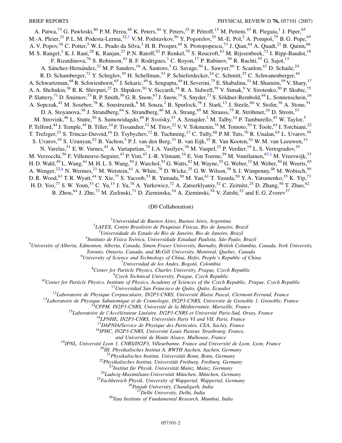<span id="page-1-1"></span>A. Patwa,<sup>73</sup> G. Pawloski,<sup>80</sup> P.M. Perea,<sup>48</sup> K. Peters,<sup>44</sup> Y. Peters,<sup>25</sup> P. Pétroff,<sup>15</sup> M. Petteni,<sup>43</sup> R. Piegaia,<sup>1</sup> J. Piper,<sup>65</sup> M.-A. Pleier,<sup>21</sup> P. L. M. Podesta-Lerma,<sup>32,[†](#page-2-1)</sup> V. M. Podstavkov,<sup>50</sup> Y. Pogorelov,<sup>55</sup> M.-E. Pol,<sup>2</sup> A. Pompoš,<sup>75</sup> B. G. Pope,<sup>65</sup> A. V. Popov,<sup>38</sup> C. Potter,<sup>5</sup> W. L. Prado da Silva,<sup>3</sup> H. B. Prosper,<sup>49</sup> S. Protopopescu,<sup>73</sup> J. Qian,<sup>64</sup> A. Quadt,<sup>21</sup> B. Quinn,<sup>66</sup> M. S. Rangel,<sup>2</sup> K. J. Rani,<sup>28</sup> K. Ranjan,<sup>27</sup> P. N. Ratoff,<sup>42</sup> P. Renkel,<sup>79</sup> S. Reucroft,<sup>63</sup> M. Rijssenbeek,<sup>72</sup> I. Ripp-Baudot,<sup>18</sup> F. Rizatdinova,<sup>76</sup> S. Robinson,<sup>43</sup> R. F. Rodrigues,<sup>3</sup> C. Royon,<sup>17</sup> P. Rubinov,<sup>50</sup> R. Ruchti,<sup>55</sup> G. Sajot,<sup>13</sup> A. Sánchez-Hernández,<sup>32</sup> M. P. Sanders,<sup>16</sup> A. Santoro,<sup>3</sup> G. Savage,<sup>50</sup> L. Sawyer,<sup>60</sup> T. Scanlon,<sup>43</sup> D. Schaile,<sup>24</sup> R. D. Schamberger,<sup>72</sup> Y. Scheglov,<sup>39</sup> H. Schellman,<sup>53</sup> P. Schieferdecker,<sup>24</sup> C. Schmitt,<sup>25</sup> C. Schwanenberger,<sup>44</sup> A. Schwartzman,<sup>68</sup> R. Schwienhorst,<sup>65</sup> J. Sekaric,<sup>49</sup> S. Sengupta,<sup>49</sup> H. Severini,<sup>75</sup> E. Shabalina,<sup>51</sup> M. Shamim,<sup>59</sup> V. Shary,<sup>17</sup> A. A. Shchukin,<sup>38</sup> R. K. Shivpuri,<sup>27</sup> D. Shpakov,<sup>50</sup> V. Siccardi,<sup>18</sup> R. A. Sidwell,<sup>59</sup> V. Simak,<sup>9</sup> V. Sirotenko,<sup>50</sup> P. Skubic,<sup>75</sup> P. Slattery,<sup>71</sup> D. Smirnov,<sup>55</sup> R. P. Smith,<sup>50</sup> G. R. Snow,<sup>67</sup> J. Snow,<sup>74</sup> S. Snyder,<sup>73</sup> S. Söldner-Rembold,<sup>44</sup> L. Sonnenschein,<sup>16</sup> A. Sopczak,<sup>42</sup> M. Sosebee,<sup>78</sup> K. Soustruznik,<sup>8</sup> M. Souza,<sup>2</sup> B. Spurlock,<sup>78</sup> J. Stark,<sup>13</sup> J. Steele,<sup>60</sup> V. Stolin,<sup>36</sup> A. Stone,<sup>51</sup> D. A. Stoyanova,<sup>38</sup> J. Strandberg,<sup>64</sup> S. Strandberg,<sup>40</sup> M. A. Strang,<sup>69</sup> M. Strauss,<sup>75</sup> R. Ströhmer,<sup>24</sup> D. Strom,<sup>53</sup> M. Strovink,<sup>46</sup> L. Stutte,<sup>50</sup> S. Sumowidagdo,<sup>49</sup> P. Svoisky,<sup>55</sup> A. Sznajder,<sup>3</sup> M. Talby,<sup>14</sup> P. Tamburello,<sup>45</sup> W. Taylor,<sup>5</sup> P. Telford,<sup>44</sup> J. Temple,<sup>45</sup> B. Tiller,<sup>24</sup> F. Tissandier,<sup>12</sup> M. Titov,<sup>22</sup> V. V. Tokmenin,<sup>35</sup> M. Tomoto,<sup>50</sup> T. Toole,<sup>61</sup> I. Torchiani,<sup>22</sup> T. Trefzger,<sup>23</sup> S. Trincaz-Duvoid,<sup>16</sup> D. Tsybychev,<sup>72</sup> B. Tuchming,<sup>17</sup> C. Tully,<sup>68</sup> P.M. Tuts,<sup>70</sup> R. Unalan,<sup>65</sup> L. Uvarov,<sup>39</sup> S. Uvarov,<sup>39</sup> S. Uzunyan,<sup>52</sup> B. Vachon,<sup>5</sup> P. J. van den Berg,<sup>33</sup> B. van Eijk,<sup>35</sup> R. Van Kooten,<sup>54</sup> W. M. van Leeuwen,<sup>33</sup> N. Varelas,<sup>51</sup> E. W. Varnes,<sup>45</sup> A. Vartapetian,<sup>78</sup> I. A. Vasilyev,<sup>38</sup> M. Vaupel,<sup>25</sup> P. Verdier,<sup>19</sup> L. S. Vertogradov,<sup>35</sup> M. Verzocchi,<sup>50</sup> F. Villeneuve-Seguier,<sup>43</sup> P. Vint,<sup>43</sup> J.-R. Vlimant,<sup>16</sup> E. Von Toerne,<sup>59</sup> M. Voutilainen,<sup>67[,‡](#page-2-2)</sup> M. Vreeswijk,<sup>33</sup> H. D. Wahl,<sup>49</sup> L. Wang,<sup>61</sup> M. H. L. S. Wang,<sup>50</sup> J. Warchol,<sup>55</sup> G. Watts,<sup>82</sup> M. Wayne,<sup>55</sup> G. Weber,<sup>23</sup> M. Weber,<sup>50</sup> H. Weerts,<sup>65</sup> A. Wenger,<sup>22,§</sup> N. Wermes,<sup>21</sup> M. Wetstein,<sup>61</sup> A. White,<sup>78</sup> D. Wicke,<sup>25</sup> G. W. Wilson,<sup>58</sup> S. J. Wimpenny,<sup>48</sup> M. Wobisch,<sup>50</sup> D. R. Wood, <sup>63</sup> T. R. Wyatt, <sup>44</sup> Y. Xie, <sup>77</sup> S. Yacoob, <sup>53</sup> R. Yamada, <sup>50</sup> M. Yan, <sup>61</sup> T. Yasuda, <sup>50</sup> Y. A. Yatsunenko, <sup>35</sup> K. Yip, <sup>73</sup> H. D. Yoo,<sup>77</sup> S. W. Youn,<sup>53</sup> C. Yu,<sup>13</sup> J. Yu,<sup>78</sup> A. Yurkewicz,<sup>72</sup> A. Zatserklyaniy,<sup>52</sup> C. Zeitnitz,<sup>25</sup> D. Zhang,<sup>50</sup> T. Zhao,<sup>82</sup> B. Zhou,<sup>64</sup> J. Zhu,<sup>72</sup> M. Zielinski,<sup>71</sup> D. Zieminska,<sup>54</sup> A. Zieminski,<sup>54</sup> V. Zutshi,<sup>52</sup> and E. G. Zverev<sup>37</sup>

(D0 Collaboration)

1 *Universidad de Buenos Aires, Buenos Aires, Argentina* <sup>2</sup>

*LAFEX, Centro Brasileiro de Pesquisas Fı´sicas, Rio de Janeiro, Brazil* <sup>3</sup>

*Universidade do Estado do Rio de Janeiro, Rio de Janeiro, Brazil* <sup>4</sup>

<sup>4</sup>Instituto de Física Teórica, Universidade Estadual Paulista, São Paulo, Brazil

<span id="page-1-0"></span>*University of Alberta, Edmonton, Alberta, Canada, Simon Fraser University, Burnaby, British Columbia, Canada, York University,*

*Toronto, Ontario, Canada, and McGill University, Montreal, Quebec, Canada* <sup>6</sup>

*University of Science and Technology of China, Hefei, People's Republic of China* <sup>7</sup>

*Universidad de los Andes, Bogota´, Colombia* <sup>8</sup>

<sup>8</sup> Center for Particle Physics, Charles University, Prague, Czech Republic <sup>9</sup> Czech Technical University, Prague, Czech Republic

<sup>10</sup>Center for Particle Physics, Institute of Physics, Academy of Sciences of the Czech Republic, Prague, Czech Republic<br><sup>11</sup>Universidad San Francisco de Quito, Quito, Ecuador<br><sup>12</sup>Laboratoire de Physique Corpusculaire, IN

and Université de Haute Alsace, Mulhouse, France<br><sup>19</sup>IPNL, Université Lyon 1, CNRS/IN2P3, Villeurbanne, France and Université de Lyon, Lyon, France<br><sup>20</sup>III. Physikalisches Institut A, RWTH Aachen, Aachen, Germany

<sup>21</sup> Physikalisches Institut, Universität Bonn, Bonn, Germany<br><sup>22</sup> Physikalisches Institut, Universität Freiburg, Freiburg, Germany<br><sup>23</sup> Institut für Physik, Universität Mainz, Mainz, Germany<br><sup>24</sup> Ludwig-Maximilians-Unive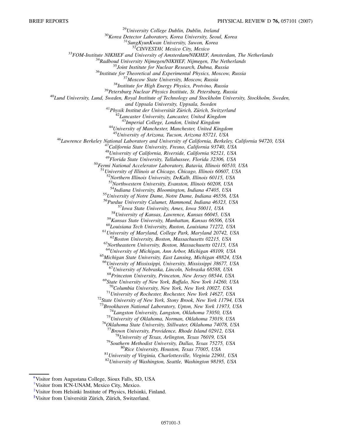$\begin{array}{r} \begin{array}{r} \text{ } ^{29} \text{University College Dublin, Dublin, Ireland} \\ \text{ } ^{30} \text{Korea Detection Laboratory, Korea University, Seoul, Korea} \\ \text{ } ^{31} \text{SungKyunKwan University, Stwon, Korea} \end{array} \\ \begin{array}{r} \begin{array}{r} \text{ } ^{31} \text{SungKyunKwan University, Stwon, Korea} \\ \text{ } ^{32} \text{CINVESTAY, Mexico City, Mexico} \\ \text{ } ^{32} \text{FOM-Institute NIKHEF and University of Amsterdam/NIKHEF, Amsterdam, The Netherlands} \\ \text{ } ^{34} \text{Radboud University Nijmegen/NIKHEF, Nijmegen, The$ *and Uppsala University, Uppsala, Sweden*<br><sup>41</sup>*Physik Institut der Universität Zürich, Zürich, Switzerland*<br><sup>42</sup>*Lancaster University, Lancaster, United Kingdom*<br><sup>43</sup>*Imperial College, London, United Kingdom* <sup>43</sup>*Imperial College, London, United Kingdom* <sup>44</sup>*University of Manchester, Manchester, United Kingdom* <sup>46</sup> Lawrence Berkeley National Laboratory and University of California, Berkeley, California 94720, USA<br><sup>47</sup> California State University, Fresno, California 93740, USA <sup>48</sup>*University of California, Riverside, California 92521, USA* <sup>50</sup>Fermi National Accelerator Laboratory, Batavia, Illinois 60510, USA <sup>51</sup>*University of Illinois at Chicago, Chicago, Illinois 60607, USA* <sup>52</sup>*Northern Illinois University, DeKalb, Illinois 60115, USA* <sup>53</sup>*Northwestern University, Evanston, Illinois 60208, USA* <sup>55</sup>*University of Notre Dame, Notre Dame, Indiana 46556, USA* <sup>56</sup>*Purdue University Calumet, Hammond, Indiana 46323, USA* <sup>57</sup>Iowa State University, Ames, Iowa 50011, USA<br><sup>58</sup>University of Kansas, Lawrence, Kansas 66045, USA<br><sup>59</sup>Kansas State University, Manhattan, Kansas 66506, USA<br><sup>60</sup>Louisiana Tech University, Ruston, Louisiana 71272, USA<br> <sup>65</sup>Michigan State University, East Lansing, Michigan 48824, USA <sup>66</sup>*University of Mississippi, University, Mississippi 38677, USA* <sup>68</sup>Princeton University, Princeton, New Jersey 08544, USA<br><sup>69</sup>State University of New York, Buffalo, New York 14260, USA<br><sup>70</sup>Columbia University, New York, New York 10027, USA <sup>71</sup>Columbia University of Rochester, New York 14627, USA<sup>72</sup>State University of New York, Stony Brook, New York 11794, USA<sup>73</sup>Brookhaven National Laboratory, Upton, New York 11973, USA <sup>74</sup>Langston University, Langston, Oklahoma 73050, USA<br><sup>75</sup>University of Oklahoma, Norman, Oklahoma 73019, USA<br><sup>76</sup>Oklahoma State University, Stillwater, Oklahoma 74078, USA<br><sup>77</sup>Brown University, Providence, Rhode Island <sup>78</sup>University of Texas, Arlington, Texas 76019, USA<br><sup>79</sup>Southern Methodist University, Dallas, Texas 75275, USA<br><sup>80</sup>Rice University, Houston, Texas 77005, USA<br><sup>81</sup>University of Virginia, Charlottesville, Virginia 22901, <sup>82</sup>*University of Washington, Seattle, Washington 98195, USA*

<span id="page-2-0"></span>[<sup>\\*</sup>V](#page-0-0)isitor from Augustana College, Sioux Falls, SD, USA

<span id="page-2-1"></span>[<sup>†</sup>](#page-1-1) Visitor from ICN-UNAM, Mexico City, Mexico.

<span id="page-2-2"></span>[<sup>‡</sup>](#page-1-0) Visitor from Helsinki Institute of Physics, Helsinki, Finland.

<sup>§</sup>Visitor from Universität Zürich, Zürich, Switzerland.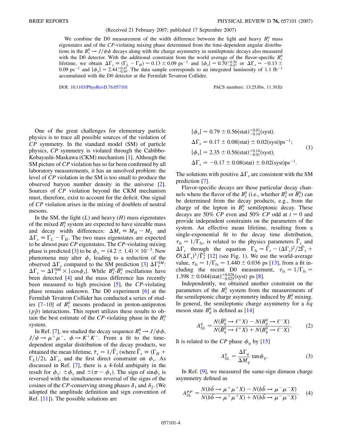## (Received 21 February 2007; published 17 September 2007)

We combine the D0 measurement of the width difference between the light and heavy  $B_s^0$  mass eigenstates and of the *CP*-violating mixing phase determined from the time-dependent angular distributions in the  $B_s^0 \rightarrow J/\psi \phi$  decays along with the charge asymmetry in semileptonic decays also measured with the D0 detector. With the additional constraint from the world average of the flavor-specific  $B_s^0$ lifetime, we obtain  $\Delta\Gamma_s \equiv (\Gamma_L - \Gamma_H) = 0.13 \pm 0.09 \text{ ps}^{-1}$  and  $|\phi_s| = 0.70^{+0.39}_{-0.47}$  or  $\Delta\Gamma_s = -0.13 \pm 0.09 \text{ ps}^{-1}$ 0.09 ps<sup>-1</sup> and  $|\phi_s| = 2.44^{+0.47}_{-0.39}$ . The data sample corresponds to an integrated luminosity of 1.1 fb<sup>-1</sup> accumulated with the D0 detector at the Fermilab Tevatron Collider.

DOI: [10.1103/PhysRevD.76.057101](http://dx.doi.org/10.1103/PhysRevD.76.057101) PACS numbers: 13.25.Hw, 11.30.Er

One of the great challenges for elementary particle physics is to trace all possible sources of the violation of *CP* symmetry. In the standard model (SM) of particle physics, *CP* symmetry is violated through the Cabibbo-Kobayashi-Maskawa (CKM) mechanism [[1\]](#page-5-0). Although the SM picture of *CP* violation has so far been confirmed by all laboratory measurements, it has an unsolved problem: the level of *CP* violation in the SM is too small to produce the observed baryon number density in the universe [[2\]](#page-5-1). Sources of *CP* violation beyond the CKM mechanism must, therefore, exist to account for the deficit. One signal of *CP* violation arises in the mixing of doublets of neutral mesons.

In the SM, the light  $(L)$  and heavy  $(H)$  mass eigenstates of the mixed  $B_s^0$  system are expected to have sizeable mass and decay width differences:  $\Delta M_s \equiv M_H - M_L$  and  $\Delta\Gamma_s \equiv \Gamma_L - \Gamma_H$ . The two mass eigenstates are expected to be almost pure *CP* eigenstates. The *CP*-violating mixing phase is predicted [\[3](#page-5-2)] to be  $\phi_s = (4.2 \pm 1.4) \times 10^{-3}$ . New phenomena may alter  $\phi_s$  leading to a reduction of the observed  $\Delta\Gamma_s$  compared to the SM prediction [\[3\]](#page-5-2)  $\Delta\Gamma_s^{SM}$ :  $\Delta\Gamma_s = \Delta\Gamma_s^{\text{SM}} \times |\cos\phi_s|$ . While  $B_s^0 \text{-} \bar{B}_s^0$  oscillations have been detected [\[4](#page-5-3)] and the mass difference has recently been measured to high precision [\[5\]](#page-5-4), the *CP*-violating phase remains unknown. The D0 experiment [\[6\]](#page-6-0) at the Fermilab Tevatron Collider has conducted a series of studies  $[7-10]$  $[7-10]$  $[7-10]$  $[7-10]$  $[7-10]$  of  $B_s^0$  mesons produced in proton-antiproton  $(p\bar{p})$  interactions. This report utilizes these results to obtain the best estimate of the *CP*-violating phase in the  $B_s^0$ system.

In Ref. [\[7\]](#page-6-1), we studied the decay sequence  $B_s^0 \rightarrow J/\psi \phi$ ,  $J/\psi \rightarrow \mu^+ \mu^-$ ,  $\phi \rightarrow K^+ K^-$ . From a fit to the timedependent angular distribution of the decay products, we obtained the mean lifetime,  $\bar{\tau}_s = 1/\bar{\Gamma}_s$  (where  $\bar{\Gamma}_s \equiv (\Gamma_H + \Gamma_s)$  $\Gamma_L$ /2),  $\Delta \Gamma_s$ , and the first direct constraint on  $\phi_s$ . As discussed in Ref. [\[7](#page-6-1)], there is a 4-fold ambiguity in the result for  $\phi_s$ :  $\pm \phi_s$  and  $\pm (\pi - \phi_s)$ . The sign of sin $\phi_s$  is reversed with the simultaneous reversal of the signs of the cosines of the *CP*-conserving strong phases  $\delta_1$  and  $\delta_2$ . (We adopted the amplitude definition and sign convention of Ref. [\[11\]](#page-6-3)). The possible solutions are

<span id="page-3-1"></span>
$$
|\phi_s| = 0.79 \pm 0.56 \text{(stat)}^{+0.01}_{-0.14} \text{(syst)},
$$
  
\n
$$
\Delta \Gamma_s = 0.17 \pm 0.08 \text{(stat)} \pm 0.02 \text{(syst)} \text{ps}^{-1};
$$
  
\n
$$
|\phi_s| = 2.35 \pm 0.56 \text{(stat)}^{+0.14}_{-0.01} \text{(syst)},
$$
  
\n
$$
\Delta \Gamma_s = -0.17 \pm 0.08 \text{(stat)} \pm 0.02 \text{(syst)} \text{ps}^{-1}.
$$
 (1)

The solutions with positive  $\Delta\Gamma_s$  are consistent with the SM prediction [\[7](#page-6-1)].

Flavor-specific decays are those particular decay channels where the flavor of the  $B_s^0$  (i.e., whether  $B_s^0$  or  $\overline{B}_s^0$ ) can be determined from the decay products, e.g., from the charge of the lepton in  $B_s^0$  semileptonic decay. These decays are 50% *CP* even and 50% *CP* odd at  $t = 0$  and provide independent constraints on the parameters of the system. An effective mean lifetime, resulting from a single-exponential fit to the decay time distribution,  $\tau_{\text{fs}} = 1/\overline{\Gamma}_{\text{fs}}$ , is related to the physics parameters  $\overline{\Gamma}_{s}$  and  $\Delta\Gamma_s$  through the equation  $\Gamma_{fs} = \overline{\Gamma}_s - (\Delta\Gamma_s)^2/2\overline{\Gamma}_s$  +  $\mathcal{O}(\Delta\Gamma_s)^3/\overline{\Gamma}_s^2$  [\[12\]](#page-6-4) (see Fig. [1\)](#page-4-0). We use the world-average value,  $\tau_{fs} = 1/\Gamma_{fs} = 1.440 \pm 0.036$  ps [[13](#page-6-5)], from a fit including the recent D0 measurement,  $\tau_{\text{fs}} = 1/\Gamma_{\text{fs}} =$  $1.398 \pm 0.044(stat)_{-0.025}^{+0.028}(syst)$  ps [\[8\]](#page-6-6).

Independently, we obtained another constraint on the parameters of the  $B_s^0$  system from the measurements of the semileptonic charge asymmetry induced by  $B_s^0$  mixing. In general, the semileptonic charge asymmetry for a *bq* meson state  $B_q^0$  is defined as [\[14\]](#page-6-7)

$$
A_{SL}^q = \frac{N(\bar{B}_q^0 \to \ell^+ X) - N(B_q^0 \to \ell^- X)}{N(\bar{B}_q^0 \to \ell^+ X) + N(B_q^0 \to \ell^- X)}.
$$
 (2)

<span id="page-3-0"></span>It is related to the *CP* phase  $\phi_a$  by [[15](#page-6-8)]

$$
A_{SL}^q = \frac{\Delta \Gamma_q}{\Delta M_q} \tan \phi_q.
$$
 (3)

In Ref. [[9](#page-6-9)], we measured the same-sign dimuon charge asymmetry defined as

$$
A_{SL}^{\mu\mu} = \frac{N(b\bar{b} \to \mu^{+}\mu^{+}X) - N(b\bar{b} \to \mu^{-}\mu^{-}X)}{N(b\bar{b} \to \mu^{+}\mu^{+}X) + N(b\bar{b} \to \mu^{-}\mu^{-}X)}.
$$
 (4)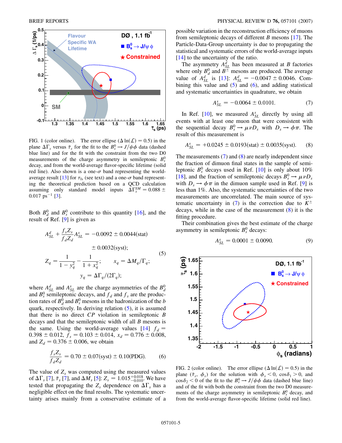<span id="page-4-0"></span>

FIG. 1 (color online). The error ellipse  $(\Delta \ln(\mathcal{L}) = 0.5)$  in the plane  $\Delta\Gamma_s$  versus  $\bar{\tau}_s$  for the fit to the  $B_s^0 \rightarrow J/\psi \phi$  data (dashed blue line) and for the fit with the constraint from the two D0 measurements of the charge asymmetry in semileptonic  $B_s^0$ decay, and from the world-average flavor-specific lifetime (solid red line). Also shown is a one- $\sigma$  band representing the world-average result [\[13\]](#page-6-5) for  $\tau_{fs}$  (see text) and a one- $\sigma$  band representing the theoretical prediction based on a QCD calculation assuming only standard model inputs  $\Delta\Gamma_s^{SM} = 0.088 \pm$  $0.017 \text{ ps}^{-1}$  [\[3\]](#page-5-2).

<span id="page-4-1"></span>Both  $B_d^0$  and  $B_s^0$  contribute to this quantity [[16](#page-6-10)], and the result of Ref. [\[9\]](#page-6-9) is given as

$$
A_{SL}^{d} + \frac{f_s Z_s}{f_d Z_d} A_{SL}^{s} = -0.0092 \pm 0.0044 \text{(stat)}
$$
  

$$
\pm 0.0032 \text{(syst)};
$$
  

$$
Z_q = \frac{1}{1 - y_q^2} - \frac{1}{1 + x_q^2}; \qquad x_q = \Delta M_q / \Gamma_q;
$$
  

$$
y_q = \Delta \Gamma_q / (2\Gamma_q);
$$
  
(5)

where  $A_{SL}^d$  and  $A_{SL}^s$  are the charge asymmetries of the  $B_d^0$ and  $B_s^0$  semileptonic decays, and  $f_d$  and  $f_s$  are the production rates of  $B_d^0$  and  $B_s^0$  mesons in the hadronization of the *b* quark, respectively. In deriving relation ([5\)](#page-4-1), it is assumed that there is no direct *CP* violation in semileptonic *B* decays and that the semileptonic width of all *B* mesons is the same. Using the world-average values  $[14]$  $[14]$   $f_d =$  $0.398 \pm 0.012$ ,  $f_s = 0.103 \pm 0.014$ ,  $x_d = 0.776 \pm 0.008$ , and  $Z_d = 0.376 \pm 0.006$ , we obtain

<span id="page-4-2"></span>
$$
\frac{f_s Z_s}{f_d Z_d} = 0.70 \pm 0.07 \text{(syst)} \pm 0.10 \text{(PDG)}.
$$
 (6)

The value of  $Z_s$  was computed using the measured values of  $\Delta\Gamma_s$  [\[7\]](#page-6-1),  $\bar{\tau}_s$  [[7\]](#page-6-1), and  $\Delta M_s$  [[5\]](#page-5-4):  $Z_s = 1.015^{+0.018}_{-0.010}$ . We have tested that propagating the  $Z_s$  dependence on  $\Delta\Gamma_s$  has a negligible effect on the final results. The systematic uncertainty arises mainly from a conservative estimate of a possible variation in the reconstruction efficiency of muons from semileptonic decays of different *B* mesons [\[17\]](#page-6-11). The Particle-Data-Group uncertainty is due to propagating the statistical and systematic errors of the world-average inputs [\[14\]](#page-6-7) to the uncertainty of the ratio.

The asymmetry  $A_{SL}^d$  has been measured at *B* factories where only  $B_d^0$  and  $B^{\pm}$  mesons are produced. The average value of  $A_{SL}^d$  is [\[13\]](#page-6-5):  $A_{SL}^d = -0.0047 \pm 0.0046$ . Combining this value and  $(5)$  $(5)$  and  $(6)$  $(6)$  $(6)$ , and adding statistical and systematic uncertainties in quadrature, we obtain

$$
A_{SL}^s = -0.0064 \pm 0.0101. \tag{7}
$$

<span id="page-4-3"></span>In Ref.  $[10]$ , we measured  $A_{SL}^s$  directly by using all events with at least one muon that were consistent with the sequential decay  $B_s^0 \to \mu \nu D_s$  with  $D_s \to \phi \pi$ . The result of this measurement is

<span id="page-4-4"></span>
$$
A_{SL}^s = +0.0245 \pm 0.0193 \text{(stat)} \pm 0.0035 \text{(syst)}.
$$
 (8)

The measurements [\(7](#page-4-3)) and ([8\)](#page-4-4) are nearly independent since the fraction of dimuon final states in the sample of semileptonic  $B_s^0$  decays used in Ref. [[10](#page-6-2)] is only about 10% [\[18\]](#page-6-12), and the fraction of semileptonic decays  $B_s^0 \rightarrow \mu \nu D_s$ with  $D_s \rightarrow \phi \pi$  in the dimuon sample used in Ref. [[9\]](#page-6-9) is less than 1%. Also, the systematic uncertainties of the two measurements are uncorrelated. The main source of sys-tematic uncertainty in [\(7\)](#page-4-3) is the correction due to  $K^{\pm}$ decays, while in the case of the measurement ([8](#page-4-4)) it is the fitting procedure.

Their combination gives the best estimate of the charge asymmetry in semileptonic  $B_s^0$  decays:

$$
A_{SL}^s = 0.0001 \pm 0.0090. \tag{9}
$$



FIG. 2 (color online). The error ellipse  $(\Delta \ln(\mathcal{L}) = 0.5)$  in the plane  $(\bar{\tau}_s, \phi_s)$  for the solution with  $\phi_s < 0$ ,  $\cos \delta_1 > 0$ , and  $\cos\delta_2$  < 0 of the fit to the  $B_s^0 \rightarrow J/\psi \phi$  data (dashed blue line) and of the fit with both the constraint from the two D0 measurements of the charge asymmetry in semileptonic  $B_s^0$  decay, and from the world-average flavor-specific lifetime (solid red line).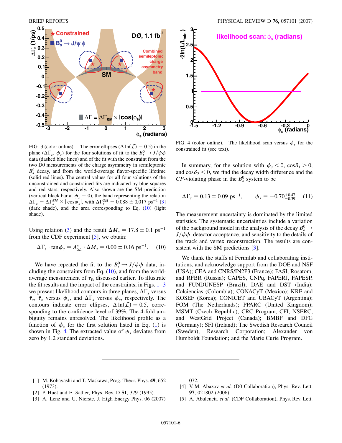<span id="page-5-6"></span>

FIG. 3 (color online). The error ellipses  $(\Delta \ln(\mathcal{L}) = 0.5)$  in the plane  $(\Delta \Gamma_s, \phi_s)$  for the four solutions of fit to the  $B_s^0 \rightarrow J/\psi \phi$ data (dashed blue lines) and of the fit with the constraint from the two D0 measurements of the charge asymmetry in semileptonic  $B<sub>s</sub><sup>0</sup>$  decay, and from the world-average flavor-specific lifetime (solid red lines). The central values for all four solutions of the unconstrained and constrained fits are indicated by blue squares and red stars, respectively. Also shown are the SM prediction (vertical black bar at  $\phi_s = 0$ ), the band representing the relation  $\Delta\Gamma_s = \Delta\Gamma_s^{SM} \times |\cos\phi_s|$ , with  $\Delta\Gamma_s^{SM} = 0.088 \pm 0.017 \text{ ps}^{-1}$  [\[3\]](#page-5-2) (dark shade), and the area corresponding to Eq.  $(10)$  $(10)$  $(10)$  (light shade).

Using relation ([3\)](#page-3-0) and the result  $\Delta M_s = 17.8 \pm 0.1 \text{ ps}^{-1}$ from the CDF experiment [\[5](#page-5-4)], we obtain:

<span id="page-5-5"></span>
$$
\Delta\Gamma_s \cdot \tan\phi_s = A_{SL}^s \cdot \Delta M_s = 0.00 \pm 0.16 \text{ ps}^{-1}. \quad (10)
$$

We have repeated the fit to the  $B_s^0 \rightarrow J/\psi \phi$  data, including the constraints from Eq.  $(10)$ , and from the worldaverage measurement of  $\tau_{fs}$  discussed earlier. To illustrate the fit results and the impact of the constraints, in Figs.  $1-3$  $1-3$ we present likelihood contours in three planes,  $\Delta\Gamma_s$  versus  $\bar{\tau}_s$ ,  $\bar{\tau}_s$  versus  $\phi_s$ , and  $\Delta\Gamma_s$  versus  $\phi_s$ , respectively. The contours indicate error ellipses,  $\Delta \ln(\mathcal{L}) = 0.5$ , corresponding to the confidence level of 39%. The 4-fold ambiguity remains unresolved. The likelihood profile as a function of  $\phi_s$  for the first solution listed in Eq. ([1\)](#page-3-1) is shown in Fig. [4.](#page-5-7) The extracted value of  $\phi_s$  deviates from zero by 1.2 standard deviations.

<span id="page-5-7"></span>

FIG. 4 (color online). The likelihood scan versus  $\phi_s$  for the constrained fit (see text).

In summary, for the solution with  $\phi_s < 0$ ,  $\cos \delta_1 > 0$ , and  $\cos\delta_2$  < 0, we find the decay width difference and the *CP*-violating phase in the  $B_s^0$  system to be

$$
\Delta\Gamma_s = 0.13 \pm 0.09 \text{ ps}^{-1}, \qquad \phi_s = -0.70^{+0.47}_{-0.39}.\tag{11}
$$

The measurement uncertainty is dominated by the limited statistics. The systematic uncertainties include a variation of the background model in the analysis of the decay  $B_s^0 \rightarrow$  $J/\psi \phi$ , detector acceptance, and sensitivity to the details of the track and vertex reconstruction. The results are con-sistent with the SM predictions [\[3\]](#page-5-2).

We thank the staffs at Fermilab and collaborating institutions, and acknowledge support from the DOE and NSF (USA); CEA and CNRS/IN2P3 (France); FASI, Rosatom, and RFBR (Russia); CAPES, CNPq, FAPERJ, FAPESP, and FUNDUNESP (Brazil); DAE and DST (India); Colciencias (Colombia); CONACyT (Mexico); KRF and KOSEF (Korea); CONICET and UBACyT (Argentina); FOM (The Netherlands); PPARC (United Kingdom); MSMT (Czech Republic); CRC Program, CFI, NSERC, and WestGrid Project (Canada); BMBF and DFG (Germany); SFI (Ireland); The Swedish Research Council (Sweden); Research Corporation; Alexander von Humboldt Foundation; and the Marie Curie Program.

- <span id="page-5-0"></span>[1] M. Kobayashi and T. Maskawa, Prog. Theor. Phys. **49**, 652 (1973).
- <span id="page-5-1"></span>[2] P. Huet and E. Sather, Phys. Rev. D **51**, 379 (1995).
- <span id="page-5-2"></span>[3] A. Lenz and U. Nierste, J. High Energy Phys. 06 (2007)

072.

- <span id="page-5-3"></span>[4] V.M. Abazov *et al.* (D0 Collaboration), Phys. Rev. Lett. **97**, 021802 (2006).
- <span id="page-5-4"></span>[5] A. Abulencia *et al.* (CDF Collaboration), Phys. Rev. Lett.